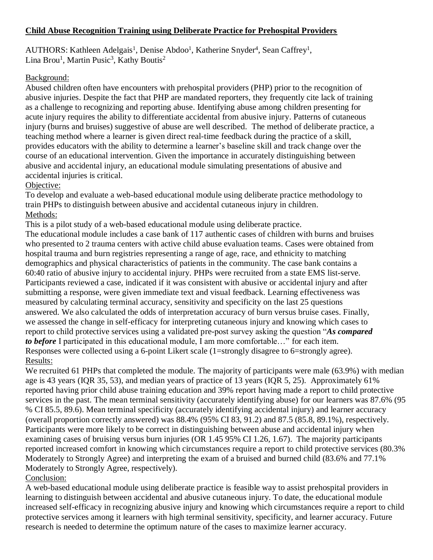## **Child Abuse Recognition Training using Deliberate Practice for Prehospital Providers**

AUTHORS: Kathleen Adelgais<sup>1</sup>, Denise Abdoo<sup>1</sup>, Katherine Snyder<sup>4</sup>, Sean Caffrey<sup>1</sup>, Lina Brou<sup>1</sup>, Martin Pusic<sup>3</sup>, Kathy Boutis<sup>2</sup>

## Background:

Abused children often have encounters with prehospital providers (PHP) prior to the recognition of abusive injuries. Despite the fact that PHP are mandated reporters, they frequently cite lack of training as a challenge to recognizing and reporting abuse. Identifying abuse among children presenting for acute injury requires the ability to differentiate accidental from abusive injury. Patterns of cutaneous injury (burns and bruises) suggestive of abuse are well described. The method of deliberate practice, a teaching method where a learner is given direct real-time feedback during the practice of a skill, provides educators with the ability to determine a learner's baseline skill and track change over the course of an educational intervention. Given the importance in accurately distinguishing between abusive and accidental injury, an educational module simulating presentations of abusive and accidental injuries is critical.

## Objective:

To develop and evaluate a web-based educational module using deliberate practice methodology to train PHPs to distinguish between abusive and accidental cutaneous injury in children. Methods:

This is a pilot study of a web-based educational module using deliberate practice.

The educational module includes a case bank of 117 authentic cases of children with burns and bruises who presented to 2 trauma centers with active child abuse evaluation teams. Cases were obtained from hospital trauma and burn registries representing a range of age, race, and ethnicity to matching demographics and physical characteristics of patients in the community. The case bank contains a 60:40 ratio of abusive injury to accidental injury. PHPs were recruited from a state EMS list-serve. Participants reviewed a case, indicated if it was consistent with abusive or accidental injury and after submitting a response, were given immediate text and visual feedback. Learning effectiveness was measured by calculating terminal accuracy, sensitivity and specificity on the last 25 questions answered. We also calculated the odds of interpretation accuracy of burn versus bruise cases. Finally, we assessed the change in self-efficacy for interpreting cutaneous injury and knowing which cases to report to child protective services using a validated pre-post survey asking the question "*As compared to before* I participated in this educational module, I am more comfortable…" for each item. Responses were collected using a 6-point Likert scale (1=strongly disagree to 6=strongly agree). Results:

We recruited 61 PHPs that completed the module. The majority of participants were male (63.9%) with median age is 43 years (IQR 35, 53), and median years of practice of 13 years (IQR 5, 25). Approximately 61% reported having prior child abuse training education and 39% report having made a report to child protective services in the past. The mean terminal sensitivity (accurately identifying abuse) for our learners was 87.6% (95 % CI 85.5, 89.6). Mean terminal specificity (accurately identifying accidental injury) and learner accuracy (overall proportion correctly answered) was 88.4% (95% CI 83, 91.2) and 87.5 (85.8, 89.1%), respectively. Participants were more likely to be correct in distinguishing between abuse and accidental injury when examining cases of bruising versus burn injuries (OR 1.45 95% CI 1.26, 1.67). The majority participants reported increased comfort in knowing which circumstances require a report to child protective services (80.3% Moderately to Strongly Agree) and interpreting the exam of a bruised and burned child (83.6% and 77.1% Moderately to Strongly Agree, respectively).

# Conclusion:

A web-based educational module using deliberate practice is feasible way to assist prehospital providers in learning to distinguish between accidental and abusive cutaneous injury. To date, the educational module increased self-efficacy in recognizing abusive injury and knowing which circumstances require a report to child protective services among it learners with high terminal sensitivity, specificity, and learner accuracy. Future research is needed to determine the optimum nature of the cases to maximize learner accuracy.